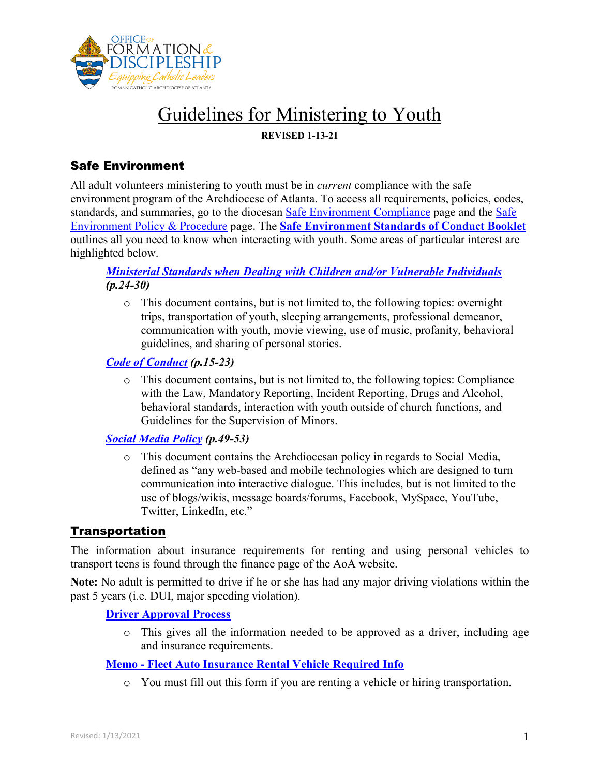

**REVISED 1-13-21**

# Safe Environment

All adult volunteers ministering to youth must be in *current* compliance with the safe environment program of the Archdiocese of Atlanta. To access all requirements, policies, codes, standards, and summaries, go to the diocesan [Safe Environment](https://archatl.com/ministries-services/safe-environment/safe-environment-compliance/) Compliance page and the [Safe](https://archatl.com/ministries-services/safe-environment/policies-and-procedures/)  [Environment Policy &](https://archatl.com/ministries-services/safe-environment/policies-and-procedures/) Procedure page. The **[Safe Environment Standards of Conduct Booklet](https://archatl.com/ministries-services/safe-environment/policies-and-procedures/)** outlines all you need to know when interacting with youth. Some areas of particular interest are highlighted below.

## *[Ministerial Standards when Dealing with Children and/or Vulnerable Individuals](https://archatl.com/ministries-services/safe-environment/policies-and-procedures/) (p.24-30)*

o This document contains, but is not limited to, the following topics: overnight trips, transportation of youth, sleeping arrangements, professional demeanor, communication with youth, movie viewing, use of music, profanity, behavioral guidelines, and sharing of personal stories.

## *[Code of Conduct](https://archatl.com/ministries-services/safe-environment/policies-and-procedures/) (p.15-23)*

o This document contains, but is not limited to, the following topics: Compliance with the Law, Mandatory Reporting, Incident Reporting, Drugs and Alcohol, behavioral standards, interaction with youth outside of church functions, and Guidelines for the Supervision of Minors.

## *[Social Media Policy](https://archatl.com/ministries-services/safe-environment/policies-and-procedures/) (p.49-53)*

o This document contains the Archdiocesan policy in regards to Social Media, defined as "any web-based and mobile technologies which are designed to turn communication into interactive dialogue. This includes, but is not limited to the use of blogs/wikis, message boards/forums, Facebook, MySpace, YouTube, Twitter, LinkedIn, etc."

# Transportation

The information about insurance requirements for renting and using personal vehicles to transport teens is found through the finance page of the AoA website.

**Note:** No adult is permitted to drive if he or she has had any major driving violations within the past 5 years (i.e. DUI, major speeding violation).

## **[Driver Approval Process](https://intranet.archatl.com/policies/driver-approval-process/)**

o This gives all the information needed to be approved as a driver, including age and insurance requirements.

## **Memo - Fleet Auto [Insurance Rental Vehicle Required](https://archatl.com/offices/finance/insurance/) Info**

o You must fill out this form if you are renting a vehicle or hiring transportation.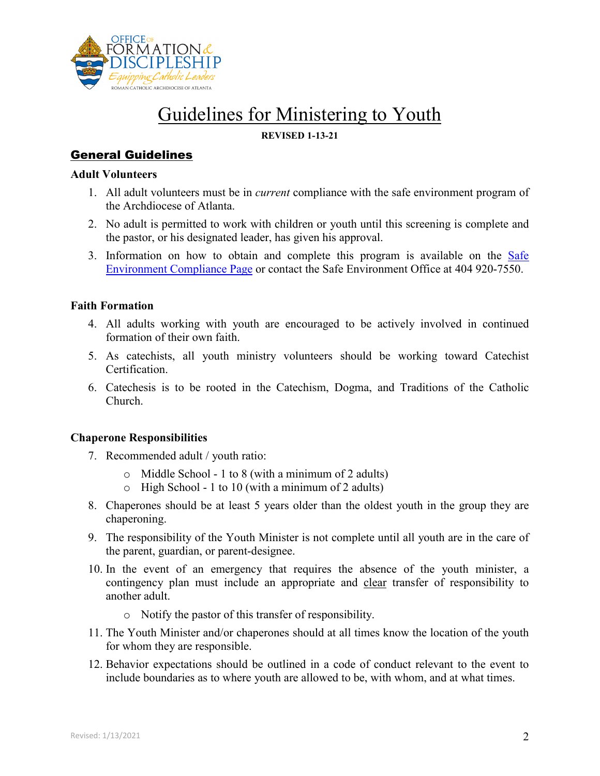

### **REVISED 1-13-21**

# General Guidelines

#### **Adult Volunteers**

- 1. All adult volunteers must be in *current* compliance with the safe environment program of the Archdiocese of Atlanta.
- 2. No adult is permitted to work with children or youth until this screening is complete and the pastor, or his designated leader, has given his approval.
- 3. Information on how to obtain and complete this program is available on the [Safe](https://archatl.com/ministries-services/safe-environment/safe-environment-compliance/)  [Environment Compliance Page](https://archatl.com/ministries-services/safe-environment/safe-environment-compliance/) or contact the Safe Environment Office at 404 920-7550.

### **Faith Formation**

- 4. All adults working with youth are encouraged to be actively involved in continued formation of their own faith.
- 5. As catechists, all youth ministry volunteers should be working toward Catechist Certification.
- 6. Catechesis is to be rooted in the Catechism, Dogma, and Traditions of the Catholic Church.

### **Chaperone Responsibilities**

- 7. Recommended adult / youth ratio:
	- o Middle School 1 to 8 (with a minimum of 2 adults)
	- $\circ$  High School 1 to 10 (with a minimum of 2 adults)
- 8. Chaperones should be at least 5 years older than the oldest youth in the group they are chaperoning.
- 9. The responsibility of the Youth Minister is not complete until all youth are in the care of the parent, guardian, or parent-designee.
- 10. In the event of an emergency that requires the absence of the youth minister, a contingency plan must include an appropriate and clear transfer of responsibility to another adult.
	- o Notify the pastor of this transfer of responsibility.
- 11. The Youth Minister and/or chaperones should at all times know the location of the youth for whom they are responsible.
- 12. Behavior expectations should be outlined in a code of conduct relevant to the event to include boundaries as to where youth are allowed to be, with whom, and at what times.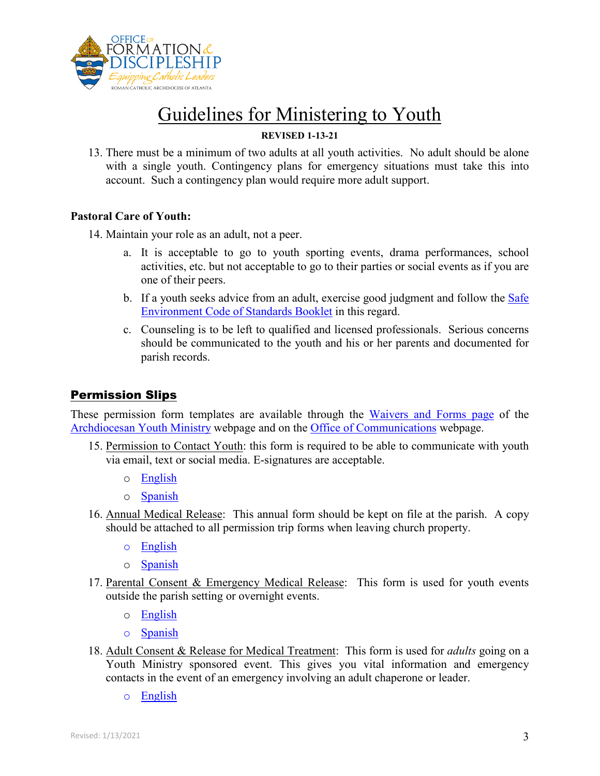

### **REVISED 1-13-21**

13. There must be a minimum of two adults at all youth activities. No adult should be alone with a single youth. Contingency plans for emergency situations must take this into account. Such a contingency plan would require more adult support.

### **Pastoral Care of Youth:**

14. Maintain your role as an adult, not a peer.

- a. It is acceptable to go to youth sporting events, drama performances, school activities, etc. but not acceptable to go to their parties or social events as if you are one of their peers.
- b. If a youth seeks advice from an adult, exercise good judgment and follow the [Safe](https://archatl.com/ministries-services/safe-environment/policies-and-procedures/) [Environment Code of Standards Booklet](https://archatl.com/ministries-services/safe-environment/policies-and-procedures/) in this regard.
- c. Counseling is to be left to qualified and licensed professionals. Serious concerns should be communicated to the youth and his or her parents and documented for parish records.

# Permission Slips

These permission form templates are available through the [Waivers and Forms page](https://www.atlyouth.org/waivers-forms) of the [Archdiocesan Youth Ministry](https://www.atlyouth.org/) webpage and on the [Office of Communications](https://archatl.com/offices/communications/) webpage.

- 15. Permission to Contact Youth: this form is required to be able to communicate with youth via email, text or social media. E-signatures are acceptable.
	- o [English](https://2nix922u0v5c1unycf149lry-wpengine.netdna-ssl.com/wp-content/uploads/2020/07/aoa-permission-to-contact-youth-july-2020.pdf)
	- o [Spanish](https://2nix922u0v5c1unycf149lry-wpengine.netdna-ssl.com/wp-content/uploads/2020/08/aoa-permission-to-contact-youth-form-es-fillable-20200729.pdf)
- 16. Annual Medical Release: This annual form should be kept on file at the parish. A copy should be attached to all permission trip forms when leaving church property.
	- o [English](https://888a8631-c16d-4323-a682-c9b5daa9f1bb.filesusr.com/ugd/4ece7d_e0f100092f834ac9ad06112de9c453d2.pdf)
	- o [Spanish](https://888a8631-c16d-4323-a682-c9b5daa9f1bb.filesusr.com/ugd/4ece7d_343e1bc724eb4be2aef12623b306c966.pdf)
- 17. Parental Consent & Emergency Medical Release: This form is used for youth events outside the parish setting or overnight events.
	- o [English](https://888a8631-c16d-4323-a682-c9b5daa9f1bb.filesusr.com/ugd/4ece7d_cfaa113b8459478f9ef186dc90fa3274.pdf)
	- o [Spanish](https://888a8631-c16d-4323-a682-c9b5daa9f1bb.filesusr.com/ugd/4ece7d_248585ebdf474e4883ac296a3e692fca.pdf)
- 18. Adult Consent & Release for Medical Treatment: This form is used for *adults* going on a Youth Ministry sponsored event. This gives you vital information and emergency contacts in the event of an emergency involving an adult chaperone or leader.
	- o [English](https://888a8631-c16d-4323-a682-c9b5daa9f1bb.filesusr.com/ugd/4ece7d_ab1ef64f402f49d6a9ac989870a740fd.pdf)